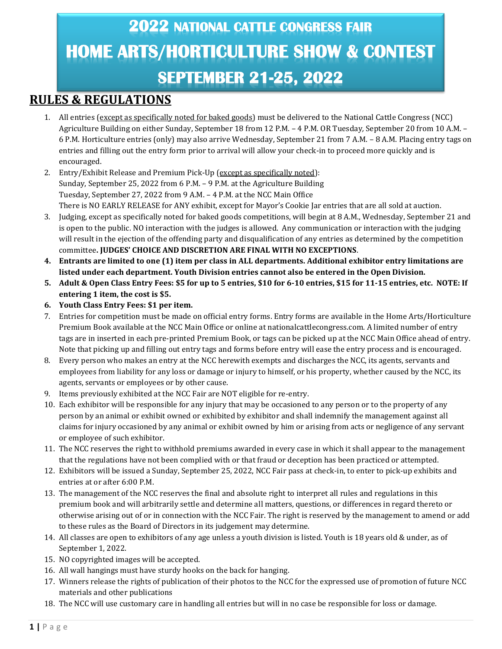# **2022 NATIONAL CATTLE CONGRESS FAIR HOME ARTS/HORTICULTURE SHOW & CONTEST SEPTEMBER 21-25, 2022**

### **RULES & REGULATIONS**

- 1. All entries (except as specifically noted for baked goods) must be delivered to the National Cattle Congress (NCC) Agriculture Building on either Sunday, September 18 from 12 P.M. – 4 P.M. OR Tuesday*,* September 20 from 10 A.M. – 6 P.M. Horticulture entries (only) may also arrive Wednesday, September 21 from 7 A.M. – 8 A.M. Placing entry tags on entries and filling out the entry form prior to arrival will allow your check-in to proceed more quickly and is encouraged.
- 2. Entry/Exhibit Release and Premium Pick-Up (except as specifically noted): Sunday, September 25, 2022 from 6 P.M. – 9 P.M. at the Agriculture Building Tuesday, September 27, 2022 from 9 A.M. – 4 P.M. at the NCC Main Office There is NO EARLY RELEASE for ANY exhibit, except for Mayor's Cookie Jar entries that are all sold at auction.
- 3. Judging, except as specifically noted for baked goods competitions, will begin at 8 A.M., Wednesday, September 21 and is open to the public. NO interaction with the judges is allowed. Any communication or interaction with the judging will result in the ejection of the offending party and disqualification of any entries as determined by the competition committee**. JUDGES' CHOICE AND DISCRETION ARE FINAL WITH NO EXCEPTIONS**.
- **4. Entrants are limited to one (1) item per class in ALL departments. Additional exhibitor entry limitations are listed under each department. Youth Division entries cannot also be entered in the Open Division.**
- **5. Adult & Open Class Entry Fees: \$5 for up to 5 entries, \$10 for 6-10 entries, \$15 for 11-15 entries, etc. NOTE: If entering 1 item, the cost is \$5.**
- **6. Youth Class Entry Fees: \$1 per item.**
- 7. Entries for competition must be made on official entry forms. Entry forms are available in the Home Arts/Horticulture Premium Book available at the NCC Main Office or online at nationalcattlecongress.com. A limited number of entry tags are in inserted in each pre-printed Premium Book, or tags can be picked up at the NCC Main Office ahead of entry. Note that picking up and filling out entry tags and forms before entry will ease the entry process and is encouraged.
- 8. Every person who makes an entry at the NCC herewith exempts and discharges the NCC, its agents, servants and employees from liability for any loss or damage or injury to himself, or his property, whether caused by the NCC, its agents, servants or employees or by other cause.
- 9. Items previously exhibited at the NCC Fair are NOT eligible for re-entry.
- 10. Each exhibitor will be responsible for any injury that may be occasioned to any person or to the property of any person by an animal or exhibit owned or exhibited by exhibitor and shall indemnify the management against all claims for injury occasioned by any animal or exhibit owned by him or arising from acts or negligence of any servant or employee of such exhibitor.
- 11. The NCC reserves the right to withhold premiums awarded in every case in which it shall appear to the management that the regulations have not been complied with or that fraud or deception has been practiced or attempted.
- 12. Exhibitors will be issued a Sunday, September 25, 2022, NCC Fair pass at check-in, to enter to pick-up exhibits and entries at or after 6:00 P.M.
- 13. The management of the NCC reserves the final and absolute right to interpret all rules and regulations in this premium book and will arbitrarily settle and determine all matters, questions, or differences in regard thereto or otherwise arising out of or in connection with the NCC Fair. The right is reserved by the management to amend or add to these rules as the Board of Directors in its judgement may determine.
- 14. All classes are open to exhibitors of any age unless a youth division is listed. Youth is 18 years old & under, as of September 1, 2022.
- 15. NO copyrighted images will be accepted.
- 16. All wall hangings must have sturdy hooks on the back for hanging.
- 17. Winners release the rights of publication of their photos to the NCC for the expressed use of promotion of future NCC materials and other publications
- 18. The NCC will use customary care in handling all entries but will in no case be responsible for loss or damage.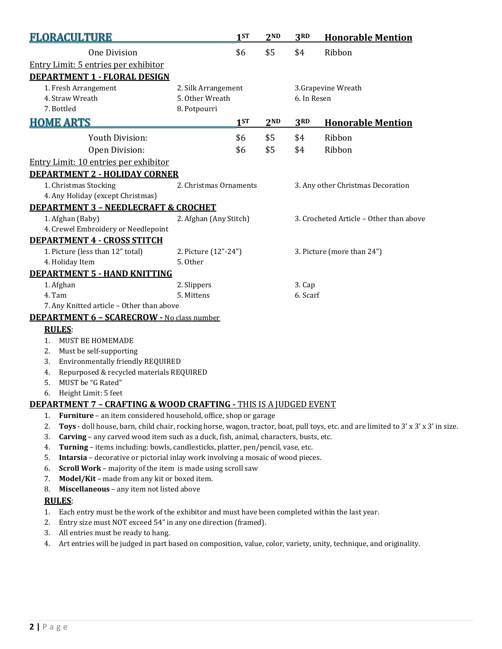| <b>FLORACULTURE</b>                                                                    |                                                                                                                                     | 1ST             | 2 <sub>ND</sub> | 3RD                        | <b>Honorable Mention</b>                |  |  |
|----------------------------------------------------------------------------------------|-------------------------------------------------------------------------------------------------------------------------------------|-----------------|-----------------|----------------------------|-----------------------------------------|--|--|
| <b>One Division</b>                                                                    |                                                                                                                                     | \$6             | \$5             | \$4                        | Ribbon                                  |  |  |
| Entry Limit: 5 entries per exhibitor                                                   |                                                                                                                                     |                 |                 |                            |                                         |  |  |
| <b>DEPARTMENT 1 - FLORAL DESIGN</b>                                                    |                                                                                                                                     |                 |                 |                            |                                         |  |  |
| 1. Fresh Arrangement                                                                   | 2. Silk Arrangement                                                                                                                 |                 |                 |                            | 3.Grapevine Wreath                      |  |  |
| 4. Straw Wreath                                                                        | 5. Other Wreath                                                                                                                     |                 |                 | 6. In Resen                |                                         |  |  |
| 7. Bottled                                                                             | 8. Potpourri                                                                                                                        |                 |                 |                            |                                         |  |  |
| <b>HOME ARTS</b>                                                                       |                                                                                                                                     | 1 <sub>ST</sub> | 2 <sub>ND</sub> | 3RD                        | <b>Honorable Mention</b>                |  |  |
| Youth Division:                                                                        |                                                                                                                                     | \$6             | \$5             | \$4                        | Ribbon                                  |  |  |
| Open Division:                                                                         |                                                                                                                                     | \$6             | \$5             | \$4                        | Ribbon                                  |  |  |
| Entry Limit: 10 entries per exhibitor                                                  |                                                                                                                                     |                 |                 |                            |                                         |  |  |
| <b>DEPARTMENT 2 - HOLIDAY CORNER</b>                                                   |                                                                                                                                     |                 |                 |                            |                                         |  |  |
| 1. Christmas Stocking                                                                  | 2. Christmas Ornaments                                                                                                              |                 |                 |                            | 3. Any other Christmas Decoration       |  |  |
| 4. Any Holiday (except Christmas)                                                      |                                                                                                                                     |                 |                 |                            |                                         |  |  |
| <b>DEPARTMENT 3 - NEEDLECRAFT &amp; CROCHET</b>                                        |                                                                                                                                     |                 |                 |                            |                                         |  |  |
| 1. Afghan (Baby)                                                                       | 2. Afghan (Any Stitch)                                                                                                              |                 |                 |                            | 3. Crocheted Article - Other than above |  |  |
| 4. Crewel Embroidery or Needlepoint                                                    |                                                                                                                                     |                 |                 |                            |                                         |  |  |
| <b>DEPARTMENT 4 - CROSS STITCH</b>                                                     |                                                                                                                                     |                 |                 |                            |                                         |  |  |
| 1. Picture (less than 12" total)                                                       | 2. Picture (12"-24")                                                                                                                |                 |                 | 3. Picture (more than 24") |                                         |  |  |
| 4. Holiday Item                                                                        | 5. Other                                                                                                                            |                 |                 |                            |                                         |  |  |
| <b>DEPARTMENT 5 - HAND KNITTING</b>                                                    |                                                                                                                                     |                 |                 |                            |                                         |  |  |
| 1. Afghan                                                                              | 2. Slippers                                                                                                                         |                 |                 | 3. Cap                     |                                         |  |  |
| 4. Tam                                                                                 | 5. Mittens                                                                                                                          |                 |                 | 6. Scarf                   |                                         |  |  |
| 7. Any Knitted article - Other than above                                              |                                                                                                                                     |                 |                 |                            |                                         |  |  |
| <b>DEPARTMENT 6 - SCARECROW - No class number</b>                                      |                                                                                                                                     |                 |                 |                            |                                         |  |  |
| <b>RULES:</b>                                                                          |                                                                                                                                     |                 |                 |                            |                                         |  |  |
| MUST BE HOMEMADE<br>1.                                                                 |                                                                                                                                     |                 |                 |                            |                                         |  |  |
| Must be self-supporting<br>2.                                                          |                                                                                                                                     |                 |                 |                            |                                         |  |  |
| Environmentally friendly REQUIRED<br>3.                                                |                                                                                                                                     |                 |                 |                            |                                         |  |  |
| Repurposed & recycled materials REQUIRED<br>4.<br>MUST be "G Rated"<br>5.              |                                                                                                                                     |                 |                 |                            |                                         |  |  |
| 6.<br>Height Limit: 5 feet                                                             |                                                                                                                                     |                 |                 |                            |                                         |  |  |
| <b>DEPARTMENT 7 - CRAFTING &amp; WOOD CRAFTING - THIS IS A JUDGED EVENT</b>            |                                                                                                                                     |                 |                 |                            |                                         |  |  |
| Furniture - an item considered household, office, shop or garage<br>1.                 |                                                                                                                                     |                 |                 |                            |                                         |  |  |
| 2.                                                                                     | Toys - doll house, barn, child chair, rocking horse, wagon, tractor, boat, pull toys, etc. and are limited to 3' x 3' x 3' in size. |                 |                 |                            |                                         |  |  |
| 3.                                                                                     | Carving - any carved wood item such as a duck, fish, animal, characters, busts, etc.                                                |                 |                 |                            |                                         |  |  |
| 4.                                                                                     | Turning - items including: bowls, candlesticks, platter, pen/pencil, vase, etc.                                                     |                 |                 |                            |                                         |  |  |
| 5.<br>Intarsia - decorative or pictorial inlay work involving a mosaic of wood pieces. |                                                                                                                                     |                 |                 |                            |                                         |  |  |
| Scroll Work - majority of the item is made using scroll saw<br>6.                      |                                                                                                                                     |                 |                 |                            |                                         |  |  |
| Model/Kit - made from any kit or boxed item.<br>7.                                     |                                                                                                                                     |                 |                 |                            |                                         |  |  |
| Miscellaneous - any item not listed above<br>8.                                        |                                                                                                                                     |                 |                 |                            |                                         |  |  |

#### **RULES**:

- 1. Each entry must be the work of the exhibitor and must have been completed within the last year.
- 2. Entry size must NOT exceed 54" in any one direction (framed).
- 3. All entries must be ready to hang.
- 4. Art entries will be judged in part based on composition, value, color, variety, unity, technique, and originality.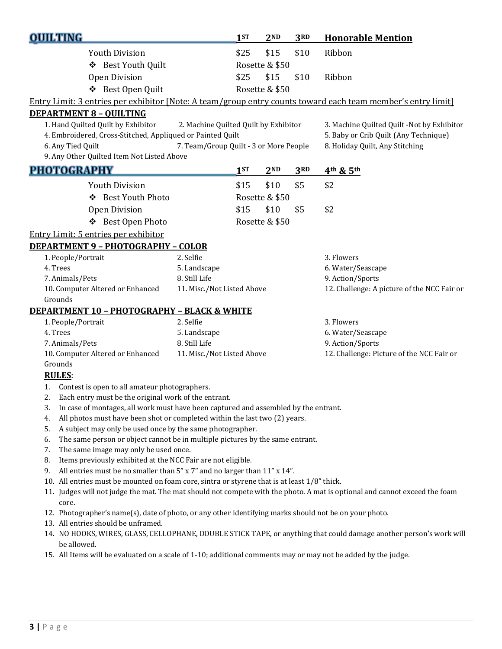| <b>OUILTING</b>                                                                                                                                                                                                                                        |                                                                                                                                                 | 1ST  | 2 <sub>ND</sub> | 3RD  | <b>Honorable Mention</b>                                                                                                   |  |
|--------------------------------------------------------------------------------------------------------------------------------------------------------------------------------------------------------------------------------------------------------|-------------------------------------------------------------------------------------------------------------------------------------------------|------|-----------------|------|----------------------------------------------------------------------------------------------------------------------------|--|
| <b>Youth Division</b>                                                                                                                                                                                                                                  |                                                                                                                                                 | \$25 | \$15            | \$10 | Ribbon                                                                                                                     |  |
|                                                                                                                                                                                                                                                        | ❖ Best Youth Quilt                                                                                                                              |      | Rosette & \$50  |      |                                                                                                                            |  |
| <b>Open Division</b>                                                                                                                                                                                                                                   |                                                                                                                                                 | \$25 | \$15            | \$10 | Ribbon                                                                                                                     |  |
| ❖ Best Open Quilt                                                                                                                                                                                                                                      |                                                                                                                                                 |      | Rosette & \$50  |      |                                                                                                                            |  |
| Entry Limit: 3 entries per exhibitor [Note: A team/group entry counts toward each team member's entry limit]                                                                                                                                           |                                                                                                                                                 |      |                 |      |                                                                                                                            |  |
| <b>DEPARTMENT 8 - QUILTING</b>                                                                                                                                                                                                                         |                                                                                                                                                 |      |                 |      |                                                                                                                            |  |
| 1. Hand Quilted Quilt by Exhibitor<br>2. Machine Quilted Quilt by Exhibitor<br>4. Embroidered, Cross-Stitched, Appliqued or Painted Quilt<br>7. Team/Group Quilt - 3 or More People<br>6. Any Tied Quilt<br>9. Any Other Quilted Item Not Listed Above |                                                                                                                                                 |      |                 |      | 3. Machine Quilted Quilt -Not by Exhibitor<br>5. Baby or Crib Quilt (Any Technique)<br>8. Holiday Quilt, Any Stitching     |  |
| <b>PHOTOGRAPHY</b>                                                                                                                                                                                                                                     |                                                                                                                                                 | 1ST  | 2 <sub>ND</sub> | 3RD  | 4th & 5th                                                                                                                  |  |
| <b>Youth Division</b>                                                                                                                                                                                                                                  |                                                                                                                                                 | \$15 | \$10            | \$5  | \$2                                                                                                                        |  |
| ❖ Best Youth Photo                                                                                                                                                                                                                                     |                                                                                                                                                 |      | Rosette & \$50  |      |                                                                                                                            |  |
| <b>Open Division</b>                                                                                                                                                                                                                                   |                                                                                                                                                 | \$15 | \$10            | \$5  | \$2                                                                                                                        |  |
| ❖ Best Open Photo                                                                                                                                                                                                                                      |                                                                                                                                                 |      | Rosette & \$50  |      |                                                                                                                            |  |
| Entry Limit: 5 entries per exhibitor                                                                                                                                                                                                                   |                                                                                                                                                 |      |                 |      |                                                                                                                            |  |
| <b>DEPARTMENT 9 - PHOTOGRAPHY - COLOR</b>                                                                                                                                                                                                              |                                                                                                                                                 |      |                 |      |                                                                                                                            |  |
| 1. People/Portrait                                                                                                                                                                                                                                     | 2. Selfie                                                                                                                                       |      |                 |      | 3. Flowers                                                                                                                 |  |
| 4. Trees                                                                                                                                                                                                                                               | 5. Landscape                                                                                                                                    |      |                 |      | 6. Water/Seascape                                                                                                          |  |
| 7. Animals/Pets                                                                                                                                                                                                                                        | 8. Still Life                                                                                                                                   |      |                 |      | 9. Action/Sports                                                                                                           |  |
| 10. Computer Altered or Enhanced                                                                                                                                                                                                                       | 11. Misc./Not Listed Above                                                                                                                      |      |                 |      | 12. Challenge: A picture of the NCC Fair or                                                                                |  |
| Grounds                                                                                                                                                                                                                                                |                                                                                                                                                 |      |                 |      |                                                                                                                            |  |
| <b>DEPARTMENT 10 - PHOTOGRAPHY - BLACK &amp; WHITE</b>                                                                                                                                                                                                 |                                                                                                                                                 |      |                 |      |                                                                                                                            |  |
| 1. People/Portrait                                                                                                                                                                                                                                     | 2. Selfie                                                                                                                                       |      |                 |      | 3. Flowers                                                                                                                 |  |
| 4. Trees                                                                                                                                                                                                                                               | 5. Landscape<br>8. Still Life                                                                                                                   |      |                 |      | 6. Water/Seascape                                                                                                          |  |
| 7. Animals/Pets<br>10. Computer Altered or Enhanced                                                                                                                                                                                                    | 11. Misc./Not Listed Above                                                                                                                      |      |                 |      | 9. Action/Sports<br>12. Challenge: Picture of the NCC Fair or                                                              |  |
| Grounds                                                                                                                                                                                                                                                |                                                                                                                                                 |      |                 |      |                                                                                                                            |  |
| <b>RULES:</b>                                                                                                                                                                                                                                          |                                                                                                                                                 |      |                 |      |                                                                                                                            |  |
| Contest is open to all amateur photographers.<br>1.                                                                                                                                                                                                    |                                                                                                                                                 |      |                 |      |                                                                                                                            |  |
| Each entry must be the original work of the entrant.<br>2.                                                                                                                                                                                             |                                                                                                                                                 |      |                 |      |                                                                                                                            |  |
| In case of montages, all work must have been captured and assembled by the entrant.<br>3.                                                                                                                                                              |                                                                                                                                                 |      |                 |      |                                                                                                                            |  |
| All photos must have been shot or completed within the last two (2) years.<br>4.                                                                                                                                                                       |                                                                                                                                                 |      |                 |      |                                                                                                                            |  |
| A subject may only be used once by the same photographer.<br>5.                                                                                                                                                                                        |                                                                                                                                                 |      |                 |      |                                                                                                                            |  |
| The same person or object cannot be in multiple pictures by the same entrant.<br>6.                                                                                                                                                                    |                                                                                                                                                 |      |                 |      |                                                                                                                            |  |
| The same image may only be used once.<br>7.                                                                                                                                                                                                            |                                                                                                                                                 |      |                 |      |                                                                                                                            |  |
| 9.                                                                                                                                                                                                                                                     | Items previously exhibited at the NCC Fair are not eligible.<br>8.<br>All entries must be no smaller than 5" x 7" and no larger than 11" x 14". |      |                 |      |                                                                                                                            |  |
| 10. All entries must be mounted on foam core, sintra or styrene that is at least 1/8" thick.                                                                                                                                                           |                                                                                                                                                 |      |                 |      |                                                                                                                            |  |
| core.                                                                                                                                                                                                                                                  |                                                                                                                                                 |      |                 |      | 11. Judges will not judge the mat. The mat should not compete with the photo. A mat is optional and cannot exceed the foam |  |
| 12. Photographer's name(s), date of photo, or any other identifying marks should not be on your photo.                                                                                                                                                 |                                                                                                                                                 |      |                 |      |                                                                                                                            |  |
| 13. All entries should be unframed.                                                                                                                                                                                                                    |                                                                                                                                                 |      |                 |      |                                                                                                                            |  |
| be allowed.                                                                                                                                                                                                                                            |                                                                                                                                                 |      |                 |      | 14. NO HOOKS, WIRES, GLASS, CELLOPHANE, DOUBLE STICK TAPE, or anything that could damage another person's work will        |  |
| 15. All Items will be evaluated on a scale of 1-10; additional comments may or may not be added by the judge.                                                                                                                                          |                                                                                                                                                 |      |                 |      |                                                                                                                            |  |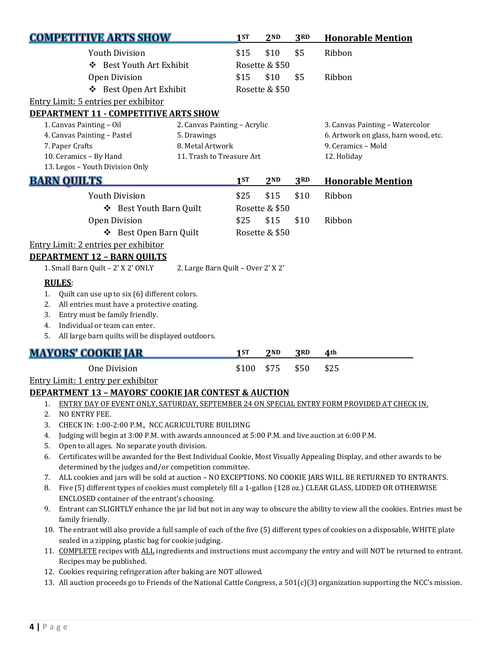| <b>COMPETITIVE ARTS SHOW</b>                                                                                                                                                         |                                                                                                                                                                                  | 1ST   | 2 <sub>ND</sub> | 3RD  | <b>Honorable Mention</b>                                                                                   |  |
|--------------------------------------------------------------------------------------------------------------------------------------------------------------------------------------|----------------------------------------------------------------------------------------------------------------------------------------------------------------------------------|-------|-----------------|------|------------------------------------------------------------------------------------------------------------|--|
| <b>Youth Division</b>                                                                                                                                                                |                                                                                                                                                                                  | \$15  | \$10            | \$5  | Ribbon                                                                                                     |  |
| ❖ Best Youth Art Exhibit                                                                                                                                                             |                                                                                                                                                                                  |       | Rosette & \$50  |      |                                                                                                            |  |
| <b>Open Division</b>                                                                                                                                                                 |                                                                                                                                                                                  | \$15  | \$10            | \$5  | Ribbon                                                                                                     |  |
| ❖ Best Open Art Exhibit                                                                                                                                                              |                                                                                                                                                                                  |       | Rosette & \$50  |      |                                                                                                            |  |
| Entry Limit: 5 entries per exhibitor                                                                                                                                                 |                                                                                                                                                                                  |       |                 |      |                                                                                                            |  |
| <b>DEPARTMENT 11 - COMPETITIVE ARTS SHOW</b>                                                                                                                                         |                                                                                                                                                                                  |       |                 |      |                                                                                                            |  |
| 1. Canvas Painting - Oil                                                                                                                                                             | 2. Canvas Painting - Acrylic                                                                                                                                                     |       |                 |      | 3. Canvas Painting - Watercolor                                                                            |  |
| 4. Canvas Painting - Pastel                                                                                                                                                          | 5. Drawings                                                                                                                                                                      |       |                 |      | 6. Artwork on glass, barn wood, etc.                                                                       |  |
| 7. Paper Crafts                                                                                                                                                                      | 8. Metal Artwork                                                                                                                                                                 |       |                 |      | 9. Ceramics - Mold                                                                                         |  |
| 10. Ceramics - By Hand                                                                                                                                                               | 11. Trash to Treasure Art                                                                                                                                                        |       |                 |      | 12. Holiday                                                                                                |  |
| 13. Legos - Youth Division Only                                                                                                                                                      |                                                                                                                                                                                  |       |                 |      |                                                                                                            |  |
| <b>BARN OUILTS</b>                                                                                                                                                                   |                                                                                                                                                                                  | 1ST   | 2 <sub>ND</sub> | 3RD  | <b>Honorable Mention</b>                                                                                   |  |
| <b>Youth Division</b>                                                                                                                                                                |                                                                                                                                                                                  | \$25  | \$15            | \$10 | Ribbon                                                                                                     |  |
| ❖ Best Youth Barn Quilt                                                                                                                                                              |                                                                                                                                                                                  |       | Rosette & \$50  |      |                                                                                                            |  |
| <b>Open Division</b>                                                                                                                                                                 |                                                                                                                                                                                  | \$25  | \$15            | \$10 | Ribbon                                                                                                     |  |
| ❖ Best Open Barn Quilt                                                                                                                                                               |                                                                                                                                                                                  |       | Rosette & \$50  |      |                                                                                                            |  |
| Entry Limit: 2 entries per exhibitor                                                                                                                                                 |                                                                                                                                                                                  |       |                 |      |                                                                                                            |  |
| <b>DEPARTMENT 12 - BARN OUILTS</b>                                                                                                                                                   |                                                                                                                                                                                  |       |                 |      |                                                                                                            |  |
| 1. Small Barn Quilt - 2' X 2' ONLY                                                                                                                                                   | 2. Large Barn Quilt - Over 2' X 2'                                                                                                                                               |       |                 |      |                                                                                                            |  |
| <b>RULES:</b>                                                                                                                                                                        |                                                                                                                                                                                  |       |                 |      |                                                                                                            |  |
| Quilt can use up to six (6) different colors.<br>1.                                                                                                                                  |                                                                                                                                                                                  |       |                 |      |                                                                                                            |  |
| All entries must have a protective coating.<br>2.                                                                                                                                    |                                                                                                                                                                                  |       |                 |      |                                                                                                            |  |
| Entry must be family friendly.<br>3.                                                                                                                                                 |                                                                                                                                                                                  |       |                 |      |                                                                                                            |  |
| Individual or team can enter.<br>4.                                                                                                                                                  |                                                                                                                                                                                  |       |                 |      |                                                                                                            |  |
| 5.<br>All large barn quilts will be displayed outdoors.                                                                                                                              |                                                                                                                                                                                  |       |                 |      |                                                                                                            |  |
| <b>MAYORS' COOKIE JAR</b>                                                                                                                                                            |                                                                                                                                                                                  | 1ST   | 2 <sub>ND</sub> | 3RD  | 4 <sup>th</sup>                                                                                            |  |
| <b>One Division</b>                                                                                                                                                                  |                                                                                                                                                                                  | \$100 | \$75            | \$50 | \$25                                                                                                       |  |
| Entry Limit: 1 entry per exhibitor                                                                                                                                                   |                                                                                                                                                                                  |       |                 |      |                                                                                                            |  |
| <b>DEPARTMENT 13 - MAYORS' COOKIE JAR CONTEST &amp; AUCTION</b>                                                                                                                      |                                                                                                                                                                                  |       |                 |      |                                                                                                            |  |
| ENTRY DAY OF EVENT ONLY, SATURDAY, SEPTEMBER 24 ON SPECIAL ENTRY FORM PROVIDED AT CHECK IN.<br>1.                                                                                    |                                                                                                                                                                                  |       |                 |      |                                                                                                            |  |
| 2.<br>NO ENTRY FEE.                                                                                                                                                                  |                                                                                                                                                                                  |       |                 |      |                                                                                                            |  |
| 3.<br>CHECK IN: 1:00-2:00 P.M., NCC AGRICULTURE BUILDING                                                                                                                             |                                                                                                                                                                                  |       |                 |      |                                                                                                            |  |
| Judging will begin at 3:00 P.M. with awards announced at 5:00 P.M. and live auction at 6:00 P.M.<br>4.                                                                               |                                                                                                                                                                                  |       |                 |      |                                                                                                            |  |
| Open to all ages. No separate youth division.<br>5.                                                                                                                                  |                                                                                                                                                                                  |       |                 |      |                                                                                                            |  |
| Certificates will be awarded for the Best Individual Cookie, Most Visually Appealing Display, and other awards to be<br>6.<br>determined by the judges and/or competition committee. |                                                                                                                                                                                  |       |                 |      |                                                                                                            |  |
| 7.                                                                                                                                                                                   |                                                                                                                                                                                  |       |                 |      | ALL cookies and jars will be sold at auction - NO EXCEPTIONS. NO COOKIE JARS WILL BE RETURNED TO ENTRANTS. |  |
| Five (5) different types of cookies must completely fill a 1-gallon (128 oz.) CLEAR GLASS, LIDDED OR OTHERWISE<br>8.                                                                 |                                                                                                                                                                                  |       |                 |      |                                                                                                            |  |
| ENCLOSED container of the entrant's choosing.                                                                                                                                        |                                                                                                                                                                                  |       |                 |      |                                                                                                            |  |
| 9.                                                                                                                                                                                   | Entrant can SLIGHTLY enhance the jar lid but not in any way to obscure the ability to view all the cookies. Entries must be                                                      |       |                 |      |                                                                                                            |  |
| family friendly.                                                                                                                                                                     |                                                                                                                                                                                  |       |                 |      |                                                                                                            |  |
|                                                                                                                                                                                      | 10. The entrant will also provide a full sample of each of the five (5) different types of cookies on a disposable, WHITE plate                                                  |       |                 |      |                                                                                                            |  |
|                                                                                                                                                                                      | sealed in a zipping, plastic bag for cookie judging.<br>11. COMPLETE recipes with ALL ingredients and instructions must accompany the entry and will NOT be returned to entrant. |       |                 |      |                                                                                                            |  |
|                                                                                                                                                                                      |                                                                                                                                                                                  |       |                 |      |                                                                                                            |  |
| Recipes may be published.                                                                                                                                                            |                                                                                                                                                                                  |       |                 |      |                                                                                                            |  |

- 12. Cookies requiring refrigeration after baking are NOT allowed.
- 13. All auction proceeds go to Friends of the National Cattle Congress, a 501(c)(3) organization supporting the NCC's mission.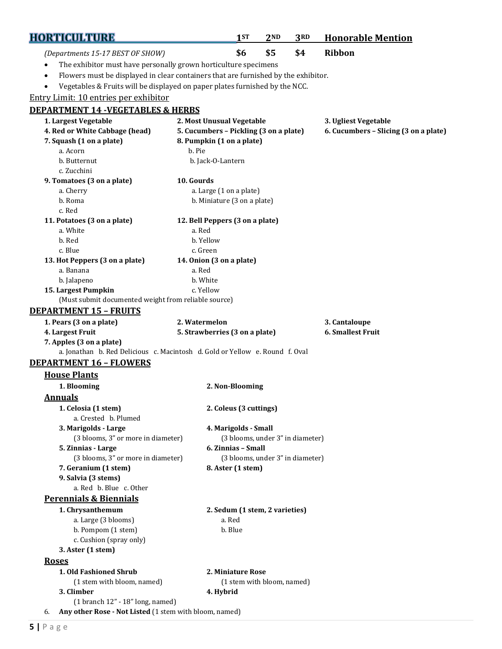| <b>HORTICULTURE</b>                                                                     |                                        | 1ST                                                   | 2ND | 3RD                                   | <b>Honorable Mention</b> |
|-----------------------------------------------------------------------------------------|----------------------------------------|-------------------------------------------------------|-----|---------------------------------------|--------------------------|
| (Departments 15-17 BEST OF SHOW)                                                        |                                        | \$6                                                   | \$5 | \$4                                   | <b>Ribbon</b>            |
| The exhibitor must have personally grown horticulture specimens                         |                                        |                                                       |     |                                       |                          |
| Flowers must be displayed in clear containers that are furnished by the exhibitor.<br>٠ |                                        |                                                       |     |                                       |                          |
| Vegetables & Fruits will be displayed on paper plates furnished by the NCC.<br>٠        |                                        |                                                       |     |                                       |                          |
| Entry Limit: 10 entries per exhibitor                                                   |                                        |                                                       |     |                                       |                          |
| <b>DEPARTMENT 14 -VEGETABLES &amp; HERBS</b>                                            |                                        |                                                       |     |                                       |                          |
| 1. Largest Vegetable                                                                    |                                        | 2. Most Unusual Vegetable                             |     |                                       | 3. Ugliest Vegetable     |
| 4. Red or White Cabbage (head)                                                          | 5. Cucumbers - Pickling (3 on a plate) |                                                       |     | 6. Cucumbers - Slicing (3 on a plate) |                          |
| 7. Squash (1 on a plate)                                                                |                                        | 8. Pumpkin (1 on a plate)                             |     |                                       |                          |
| a. Acorn                                                                                | b. Pie                                 |                                                       |     |                                       |                          |
| b. Butternut                                                                            |                                        | b. Jack-O-Lantern                                     |     |                                       |                          |
| c. Zucchini<br>9. Tomatoes (3 on a plate)                                               | 10. Gourds                             |                                                       |     |                                       |                          |
| a. Cherry                                                                               |                                        | a. Large (1 on a plate)                               |     |                                       |                          |
| b. Roma                                                                                 |                                        | b. Miniature (3 on a plate)                           |     |                                       |                          |
| c. Red                                                                                  |                                        |                                                       |     |                                       |                          |
| 11. Potatoes (3 on a plate)                                                             |                                        | 12. Bell Peppers (3 on a plate)                       |     |                                       |                          |
| a. White                                                                                | a. Red                                 |                                                       |     |                                       |                          |
| b. Red                                                                                  | b. Yellow                              |                                                       |     |                                       |                          |
| c. Blue                                                                                 | c. Green                               |                                                       |     |                                       |                          |
| 13. Hot Peppers (3 on a plate)                                                          |                                        | 14. Onion (3 on a plate)                              |     |                                       |                          |
| a. Banana<br>b. Jalapeno                                                                | a. Red<br>b. White                     |                                                       |     |                                       |                          |
| 15. Largest Pumpkin                                                                     | c. Yellow                              |                                                       |     |                                       |                          |
| (Must submit documented weight from reliable source)                                    |                                        |                                                       |     |                                       |                          |
| <b>DEPARTMENT 15 - FRUITS</b>                                                           |                                        |                                                       |     |                                       |                          |
| 1. Pears (3 on a plate)                                                                 | 2. Watermelon                          |                                                       |     |                                       | 3. Cantaloupe            |
| 4. Largest Fruit                                                                        |                                        | 5. Strawberries (3 on a plate)                        |     |                                       | <b>6. Smallest Fruit</b> |
| 7. Apples (3 on a plate)                                                                |                                        |                                                       |     |                                       |                          |
| a. Jonathan b. Red Delicious c. Macintosh d. Gold or Yellow e. Round f. Oval            |                                        |                                                       |     |                                       |                          |
| <b>DEPARTMENT 16 - FLOWERS</b>                                                          |                                        |                                                       |     |                                       |                          |
| <b>House Plants</b>                                                                     |                                        |                                                       |     |                                       |                          |
| 1. Blooming                                                                             |                                        | 2. Non-Blooming                                       |     |                                       |                          |
| <b>Annuals</b>                                                                          |                                        |                                                       |     |                                       |                          |
| 1. Celosia (1 stem)<br>a. Crested b. Plumed                                             |                                        | 2. Coleus (3 cuttings)                                |     |                                       |                          |
| 3. Marigolds - Large                                                                    |                                        | 4. Marigolds - Small                                  |     |                                       |                          |
| (3 blooms, 3" or more in diameter)                                                      |                                        | (3 blooms, under 3" in diameter)                      |     |                                       |                          |
| 5. Zinnias - Large<br>(3 blooms, 3" or more in diameter)                                |                                        | 6. Zinnias - Small                                    |     |                                       |                          |
| 7. Geranium (1 stem)                                                                    |                                        | (3 blooms, under 3" in diameter)<br>8. Aster (1 stem) |     |                                       |                          |
| 9. Salvia (3 stems)                                                                     |                                        |                                                       |     |                                       |                          |
| a. Red b. Blue c. Other                                                                 |                                        |                                                       |     |                                       |                          |
| <b>Perennials &amp; Biennials</b>                                                       |                                        |                                                       |     |                                       |                          |
| 1. Chrysanthemum                                                                        |                                        | 2. Sedum (1 stem, 2 varieties)                        |     |                                       |                          |
| a. Large (3 blooms)                                                                     |                                        | a. Red                                                |     |                                       |                          |
| b. Pompom (1 stem)                                                                      |                                        | b. Blue                                               |     |                                       |                          |
| c. Cushion (spray only)                                                                 |                                        |                                                       |     |                                       |                          |
| 3. Aster (1 stem)                                                                       |                                        |                                                       |     |                                       |                          |
| <b>Roses</b>                                                                            |                                        |                                                       |     |                                       |                          |
| 1. Old Fashioned Shrub                                                                  |                                        | 2. Miniature Rose                                     |     |                                       |                          |
| (1 stem with bloom, named)<br>3. Climber                                                |                                        | (1 stem with bloom, named)                            |     |                                       |                          |
| $(1 branch 12" - 18" long, named)$                                                      |                                        | 4. Hybrid                                             |     |                                       |                          |
| Any other Rose - Not Listed (1 stem with bloom, named)<br>6.                            |                                        |                                                       |     |                                       |                          |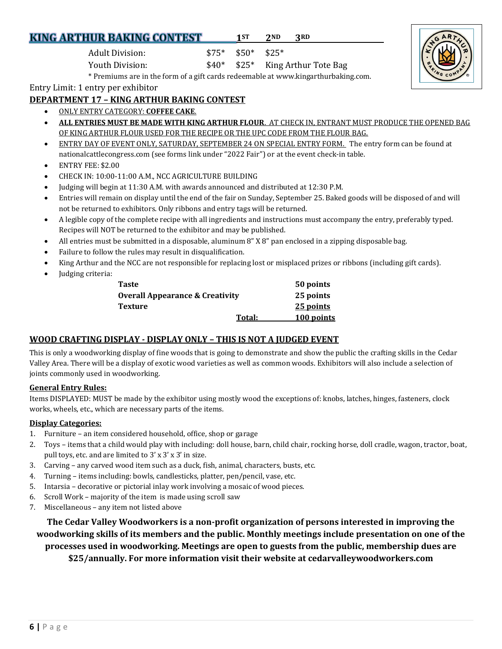### **KING ARTHUR BAKING CONTEST**

Entry Limit: 1 entry per exhibitor

#### **DEPARTMENT 17 – KING ARTHUR BAKING CONTEST**

- ONLY ENTRY CATEGORY: **COFFEE CAKE**.
- **ALL ENTRIES MUST BE MADE WITH KING ARTHUR FLOUR**. AT CHECK IN, ENTRANT MUST PRODUCE THE OPENED BAG OF KING ARTHUR FLOUR USED FOR THE RECIPE OR THE UPC CODE FROM THE FLOUR BAG.
- ENTRY DAY OF EVENT ONLY, SATURDAY, SEPTEMBER 24 ON SPECIAL ENTRY FORM. The entry form can be found at nationalcattlecongress.com (see forms link under "2022 Fair") or at the event check-in table.
- ENTRY FEE: \$2.00
- CHECK IN: 10:00-11:00 A.M., NCC AGRICULTURE BUILDING
- Judging will begin at 11:30 A.M. with awards announced and distributed at 12:30 P.M.

Adult Division: \$75\* \$50\* \$25\*

Youth Division:  $$40^*$  \$25\* King Arthur Tote Bag

\* Premiums are in the form of a gift cards redeemable at www.kingarthurbaking.com.

- Entries will remain on display until the end of the fair on Sunday, September 25. Baked goods will be disposed of and will not be returned to exhibitors. Only ribbons and entry tags will be returned.
- A legible copy of the complete recipe with all ingredients and instructions must accompany the entry, preferably typed. Recipes will NOT be returned to the exhibitor and may be published.
- All entries must be submitted in a disposable, aluminum 8" X 8" pan enclosed in a zipping disposable bag.
- Failure to follow the rules may result in disqualification.
- King Arthur and the NCC are not responsible for replacing lost or misplaced prizes or ribbons (including gift cards).
- Judging criteria:

| Taste                           |        | 50 points  |
|---------------------------------|--------|------------|
| Overall Appearance & Creativity |        | 25 points  |
| Texture                         |        | 25 points  |
|                                 | Total: | 100 points |

#### **WOOD CRAFTING DISPLAY** *-* **DISPLAY ONLY – THIS IS NOT A JUDGED EVENT**

This is only a woodworking display of fine woods that is going to demonstrate and show the public the crafting skills in the Cedar Valley Area. There will be a display of exotic wood varieties as well as common woods. Exhibitors will also include a selection of joints commonly used in woodworking.

#### **General Entry Rules:**

Items DISPLAYED: MUST be made by the exhibitor using mostly wood the exceptions of: knobs, latches, hinges, fasteners, clock works, wheels, etc., which are necessary parts of the items.

#### **Display Categories:**

- 1. Furniture an item considered household, office, shop or garage
- 2. Toys items that a child would play with including: doll house, barn, child chair, rocking horse, doll cradle, wagon, tractor, boat, pull toys, etc. and are limited to 3' x 3' x 3' in size.
- 3. Carving any carved wood item such as a duck, fish, animal, characters, busts, etc.
- 4. Turning items including: bowls, candlesticks, platter, pen/pencil, vase, etc.
- 5. Intarsia decorative or pictorial inlay work involving a mosaic of wood pieces.
- 6. Scroll Work majority of the item is made using scroll saw
- 7. Miscellaneous any item not listed above

**The Cedar Valley Woodworkers is a non-profit organization of persons interested in improving the woodworking skills of its members and the public. Monthly meetings include presentation on one of the processes used in woodworking. Meetings are open to guests from the public, membership dues are \$25/annually. For more information visit their website at cedarvalleywoodworkers.com**

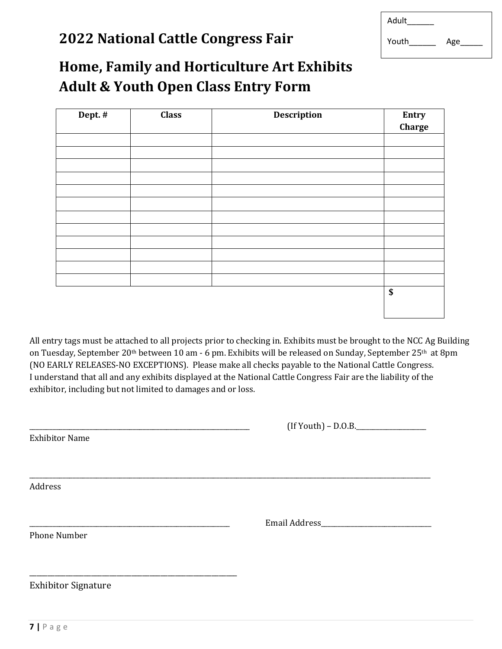### **2022 National Cattle Congress Fair**

| Adult |     |
|-------|-----|
| Youth | Age |

## **Home, Family and Horticulture Art Exhibits Adult & Youth Open Class Entry Form**

| Dept. # | <b>Class</b> | <b>Description</b> | Entry                                |
|---------|--------------|--------------------|--------------------------------------|
|         |              |                    | Charge                               |
|         |              |                    |                                      |
|         |              |                    |                                      |
|         |              |                    |                                      |
|         |              |                    |                                      |
|         |              |                    |                                      |
|         |              |                    |                                      |
|         |              |                    |                                      |
|         |              |                    |                                      |
|         |              |                    |                                      |
|         |              |                    |                                      |
|         |              |                    |                                      |
|         |              |                    |                                      |
|         |              |                    | $\overline{\boldsymbol{\mathsf{s}}}$ |
|         |              |                    |                                      |
|         |              |                    |                                      |

All entry tags must be attached to all projects prior to checking in. Exhibits must be brought to the NCC Ag Building on Tuesday, September 20<sup>th</sup> between 10 am - 6 pm. Exhibits will be released on Sunday, September 25<sup>th</sup> at 8pm (NO EARLY RELEASES-NO EXCEPTIONS). Please make all checks payable to the National Cattle Congress. I understand that all and any exhibits displayed at the National Cattle Congress Fair are the liability of the exhibitor, including but not limited to damages and or loss.

\_\_\_\_\_\_\_\_\_\_\_\_\_\_\_\_\_\_\_\_\_\_\_\_\_\_\_\_\_\_\_\_\_\_\_\_\_\_\_\_\_\_\_\_\_\_\_\_\_\_\_\_\_\_\_\_\_\_\_\_\_\_\_\_\_\_\_\_\_\_\_\_\_\_\_\_\_\_\_\_\_\_\_\_\_\_\_\_\_\_\_\_\_\_\_\_\_\_\_\_\_\_\_\_\_\_\_\_\_\_\_\_\_\_\_\_\_\_\_\_

Exhibitor Name

 $(If Youth) - D.O.B.$ 

Address

\_\_\_\_\_\_\_\_\_\_\_\_\_\_\_\_\_\_\_\_\_\_\_\_\_\_\_\_\_\_\_\_\_\_\_\_\_\_\_\_\_\_\_\_\_\_\_\_\_\_\_\_\_\_\_\_\_\_\_\_ Email Address\_\_\_\_\_\_\_\_\_\_\_\_\_\_\_\_\_\_\_\_\_\_\_\_\_\_\_\_\_\_\_\_\_

Phone Number

Exhibitor Signature

\_\_\_\_\_\_\_\_\_\_\_\_\_\_\_\_\_\_\_\_\_\_\_\_\_\_\_\_\_\_\_\_\_\_\_\_\_\_\_\_\_\_\_\_\_\_\_\_\_\_\_\_\_\_\_\_\_